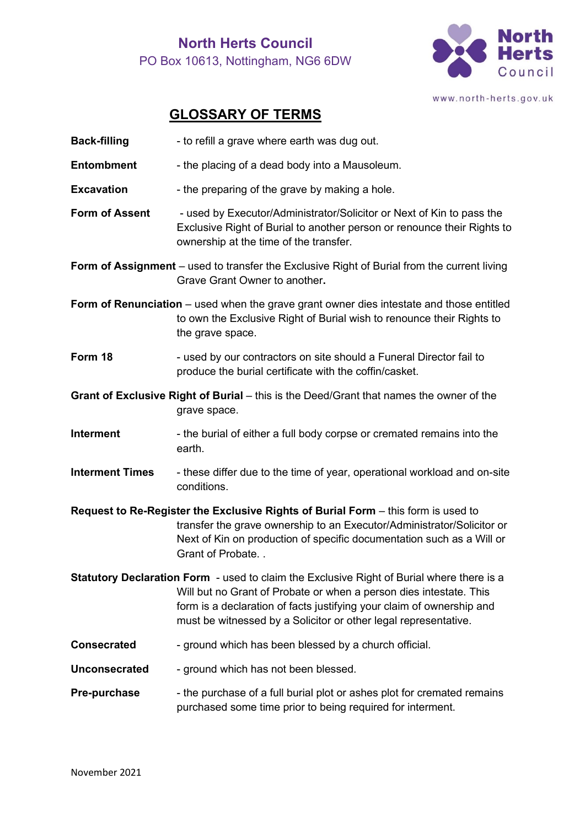## **North Herts Council** PO Box 10613, Nottingham, NG6 6DW



www.north-herts.gov.uk

## **GLOSSARY OF TERMS**

| <b>Back-filling</b>                                                                                                                                                                                                                                                                                                | - to refill a grave where earth was dug out.                                                                                                                                                                                                                |
|--------------------------------------------------------------------------------------------------------------------------------------------------------------------------------------------------------------------------------------------------------------------------------------------------------------------|-------------------------------------------------------------------------------------------------------------------------------------------------------------------------------------------------------------------------------------------------------------|
| <b>Entombment</b>                                                                                                                                                                                                                                                                                                  | - the placing of a dead body into a Mausoleum.                                                                                                                                                                                                              |
| <b>Excavation</b>                                                                                                                                                                                                                                                                                                  | - the preparing of the grave by making a hole.                                                                                                                                                                                                              |
| <b>Form of Assent</b>                                                                                                                                                                                                                                                                                              | - used by Executor/Administrator/Solicitor or Next of Kin to pass the<br>Exclusive Right of Burial to another person or renounce their Rights to<br>ownership at the time of the transfer.                                                                  |
|                                                                                                                                                                                                                                                                                                                    | <b>Form of Assignment</b> – used to transfer the Exclusive Right of Burial from the current living<br>Grave Grant Owner to another.                                                                                                                         |
|                                                                                                                                                                                                                                                                                                                    | Form of Renunciation – used when the grave grant owner dies intestate and those entitled<br>to own the Exclusive Right of Burial wish to renounce their Rights to<br>the grave space.                                                                       |
| Form 18                                                                                                                                                                                                                                                                                                            | - used by our contractors on site should a Funeral Director fail to<br>produce the burial certificate with the coffin/casket.                                                                                                                               |
| Grant of Exclusive Right of Burial – this is the Deed/Grant that names the owner of the<br>grave space.                                                                                                                                                                                                            |                                                                                                                                                                                                                                                             |
| <b>Interment</b>                                                                                                                                                                                                                                                                                                   | - the burial of either a full body corpse or cremated remains into the<br>earth.                                                                                                                                                                            |
| <b>Interment Times</b>                                                                                                                                                                                                                                                                                             | - these differ due to the time of year, operational workload and on-site<br>conditions.                                                                                                                                                                     |
|                                                                                                                                                                                                                                                                                                                    | Request to Re-Register the Exclusive Rights of Burial Form - this form is used to<br>transfer the grave ownership to an Executor/Administrator/Solicitor or<br>Next of Kin on production of specific documentation such as a Will or<br>Grant of Probate. . |
| <b>Statutory Declaration Form</b> - used to claim the Exclusive Right of Burial where there is a<br>Will but no Grant of Probate or when a person dies intestate. This<br>form is a declaration of facts justifying your claim of ownership and<br>must be witnessed by a Solicitor or other legal representative. |                                                                                                                                                                                                                                                             |
| <b>Consecrated</b>                                                                                                                                                                                                                                                                                                 | - ground which has been blessed by a church official.                                                                                                                                                                                                       |
| <b>Unconsecrated</b>                                                                                                                                                                                                                                                                                               | - ground which has not been blessed.                                                                                                                                                                                                                        |
| <b>Pre-purchase</b>                                                                                                                                                                                                                                                                                                | - the purchase of a full burial plot or ashes plot for cremated remains<br>purchased some time prior to being required for interment.                                                                                                                       |